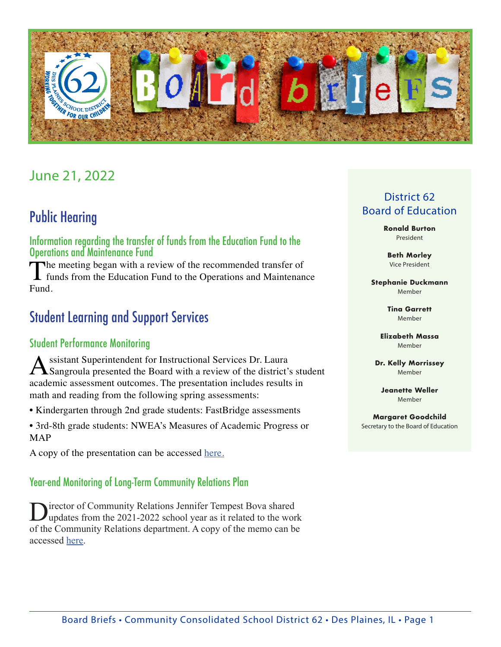

# June 21, 2022

# Public Hearing

Information regarding the transfer of funds from the Education Fund to the Operations and Maintenance Fund

The meeting began with a review of the recommended transfer of  $\blacktriangle$  funds from the Education Fund to the Operations and Maintenance Fund.

## Student Learning and Support Services

### Student Performance Monitoring

Assistant Superintendent for Instructional Services Dr. Laura<br>
Sangroula presented the Board with a review of the district's student academic assessment outcomes. The presentation includes results in math and reading from the following spring assessments:

• Kindergarten through 2nd grade students: FastBridge assessments

• 3rd-8th grade students: NWEA's Measures of Academic Progress or MAP

A copy of the presentation can be accessed [here.](https://go.boarddocs.com/il/d62/Board.nsf/files/CFFKBC4E8BAB/$file/2022_0621%20Student%20Performance%20Monitoring%20presentation.pdf)

#### Year-end Monitoring of Long-Term Community Relations Plan

Director of Community Relations Jennifer Tempest Bova shared<br>updates from the 2021-2022 school year as it related to the work of the Community Relations department. A copy of the memo can be accessed [here.](https://go.boarddocs.com/il/d62/Board.nsf/files/CFFLUM57E09F/$file/2022_0621%20Community%20Relations%20Report%20Memo.pdf)

## District 62 Board of Education

**Ronald Burton** President

**Beth Morley** Vice President

**Stephanie Duckmann** Member

> **Tina Garrett** Member

**Elizabeth Massa** Member

**Dr. Kelly Morrissey** Member

**Jeanette Weller** Member

**Margaret Goodchild** Secretary to the Board of Education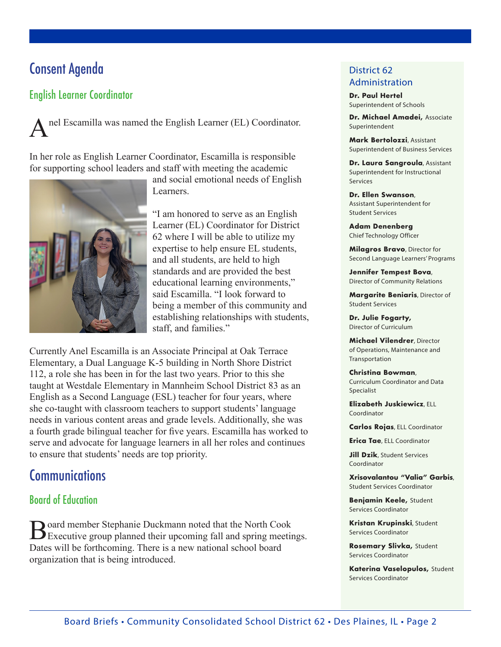# Consent Agenda

## English Learner Coordinator

nel Escamilla was named the English Learner (EL) Coordinator.

In her role as English Learner Coordinator, Escamilla is responsible for supporting school leaders and staff with meeting the academic



and social emotional needs of English Learners.

"I am honored to serve as an English Learner (EL) Coordinator for District 62 where I will be able to utilize my expertise to help ensure EL students, and all students, are held to high standards and are provided the best educational learning environments," said Escamilla. "I look forward to being a member of this community and establishing relationships with students, staff, and families."

Currently Anel Escamilla is an Associate Principal at Oak Terrace Elementary, a Dual Language K-5 building in North Shore District 112, a role she has been in for the last two years. Prior to this she taught at Westdale Elementary in Mannheim School District 83 as an English as a Second Language (ESL) teacher for four years, where she co-taught with classroom teachers to support students' language needs in various content areas and grade levels. Additionally, she was a fourth grade bilingual teacher for five years. Escamilla has worked to serve and advocate for language learners in all her roles and continues to ensure that students' needs are top priority.

## **Communications**

### Board of Education

Board member Stephanie Duckmann noted that the North Cook<br>Executive group planned their upcoming fall and spring meetings. Dates will be forthcoming. There is a new national school board organization that is being introduced.

#### District 62 Administration

**Dr. Paul Hertel** Superintendent of Schools

**Dr. Michael Amadei,** Associate Superintendent

**Mark Bertolozzi**, Assistant Superintendent of Business Services

**Dr. Laura Sangroula**, Assistant Superintendent for Instructional Services

**Dr. Ellen Swanson**, Assistant Superintendent for Student Services

**Adam Denenberg** Chief Technology Officer

**Milagros Bravo**, Director for Second Language Learners' Programs

**Jennifer Tempest Bova**, Director of Community Relations

**Margarite Beniaris**, Director of Student Services

**Dr. Julie Fogarty,** Director of Curriculum

**Michael Vilendrer**, Director of Operations, Maintenance and Transportation

**Christina Bowman**, Curriculum Coordinator and Data Specialist

**Elizabeth Juskiewicz**, ELL Coordinator

**Carlos Rojas**, ELL Coordinator

**Erica Tae**, ELL Coordinator

**Jill Dzik**, Student Services Coordinator

**Xrisovalantou "Valia" Garbis**, Student Services Coordinator

**Benjamin Keele,** Student Services Coordinator

**Kristan Krupinski**, Student Services Coordinator

**Rosemary Slivka,** Student Services Coordinator

**Katerina Vaselopulos,** Student Services Coordinator